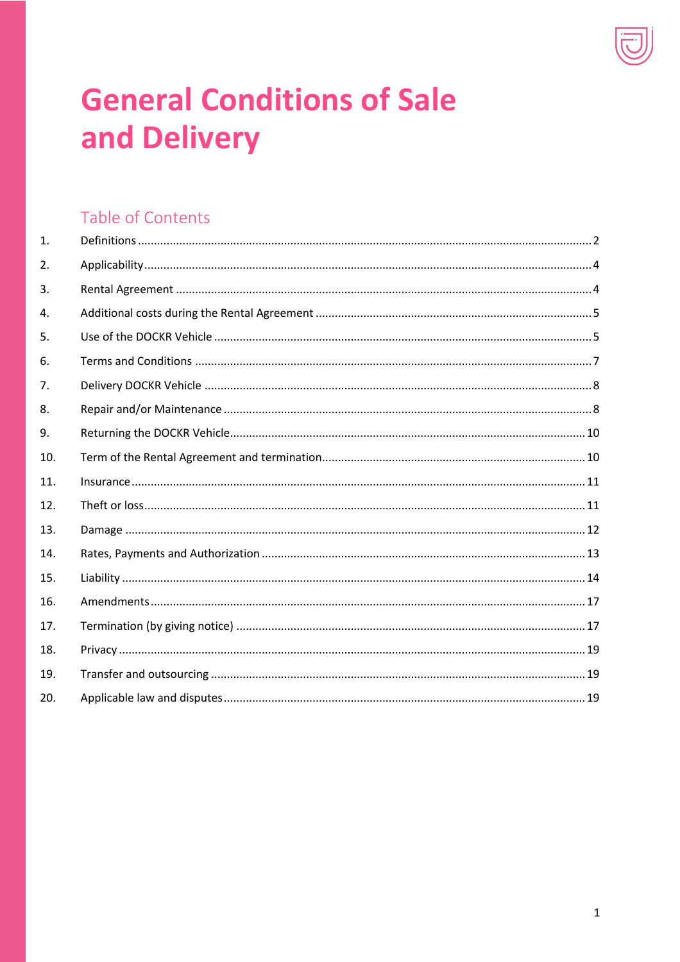

# **General Conditions of Sale** and Delivery

# Table of Contents

| $\mathbf{1}$ . |  |
|----------------|--|
| 2.             |  |
| 3.             |  |
| 4.             |  |
| 5.             |  |
| 6.             |  |
| 7.             |  |
| 8.             |  |
| 9.             |  |
| 10.            |  |
| 11.            |  |
| 12.            |  |
| 13.            |  |
| 14.            |  |
| 15.            |  |
| 16.            |  |
| 17.            |  |
| 18.            |  |
| 19.            |  |
| 20.            |  |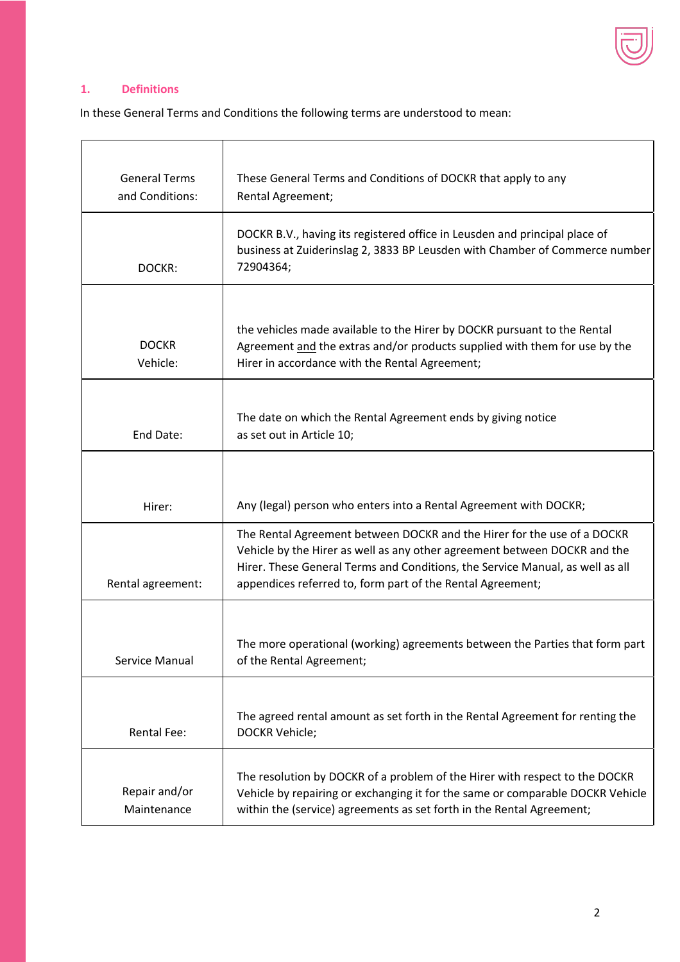

# **1. Definitions**

In these General Terms and Conditions the following terms are understood to mean:

| <b>General Terms</b><br>and Conditions: | These General Terms and Conditions of DOCKR that apply to any<br>Rental Agreement;                                                                                                                                                                                                                  |
|-----------------------------------------|-----------------------------------------------------------------------------------------------------------------------------------------------------------------------------------------------------------------------------------------------------------------------------------------------------|
| DOCKR:                                  | DOCKR B.V., having its registered office in Leusden and principal place of<br>business at Zuiderinslag 2, 3833 BP Leusden with Chamber of Commerce number<br>72904364;                                                                                                                              |
| <b>DOCKR</b><br>Vehicle:                | the vehicles made available to the Hirer by DOCKR pursuant to the Rental<br>Agreement and the extras and/or products supplied with them for use by the<br>Hirer in accordance with the Rental Agreement;                                                                                            |
| End Date:                               | The date on which the Rental Agreement ends by giving notice<br>as set out in Article 10;                                                                                                                                                                                                           |
| Hirer:                                  | Any (legal) person who enters into a Rental Agreement with DOCKR;                                                                                                                                                                                                                                   |
| Rental agreement:                       | The Rental Agreement between DOCKR and the Hirer for the use of a DOCKR<br>Vehicle by the Hirer as well as any other agreement between DOCKR and the<br>Hirer. These General Terms and Conditions, the Service Manual, as well as all<br>appendices referred to, form part of the Rental Agreement; |
| Service Manual                          | The more operational (working) agreements between the Parties that form part<br>of the Rental Agreement;                                                                                                                                                                                            |
| <b>Rental Fee:</b>                      | The agreed rental amount as set forth in the Rental Agreement for renting the<br>DOCKR Vehicle;                                                                                                                                                                                                     |
| Repair and/or<br>Maintenance            | The resolution by DOCKR of a problem of the Hirer with respect to the DOCKR<br>Vehicle by repairing or exchanging it for the same or comparable DOCKR Vehicle<br>within the (service) agreements as set forth in the Rental Agreement;                                                              |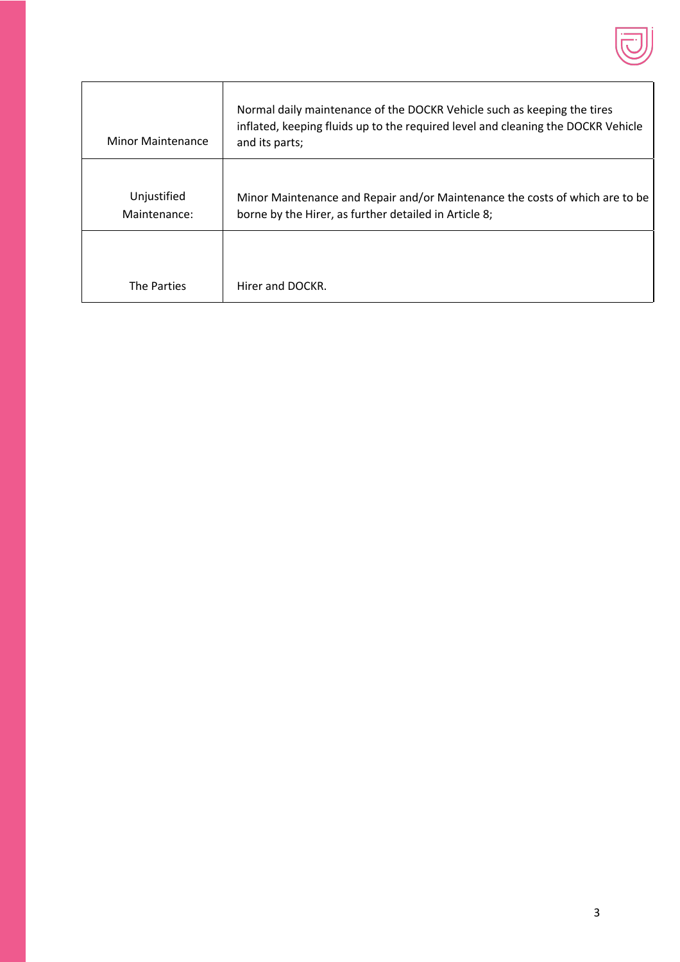

| Minor Maintenance           | Normal daily maintenance of the DOCKR Vehicle such as keeping the tires<br>inflated, keeping fluids up to the required level and cleaning the DOCKR Vehicle<br>and its parts; |
|-----------------------------|-------------------------------------------------------------------------------------------------------------------------------------------------------------------------------|
| Unjustified<br>Maintenance: | Minor Maintenance and Repair and/or Maintenance the costs of which are to be<br>borne by the Hirer, as further detailed in Article 8;                                         |
| The Parties                 | Hirer and DOCKR.                                                                                                                                                              |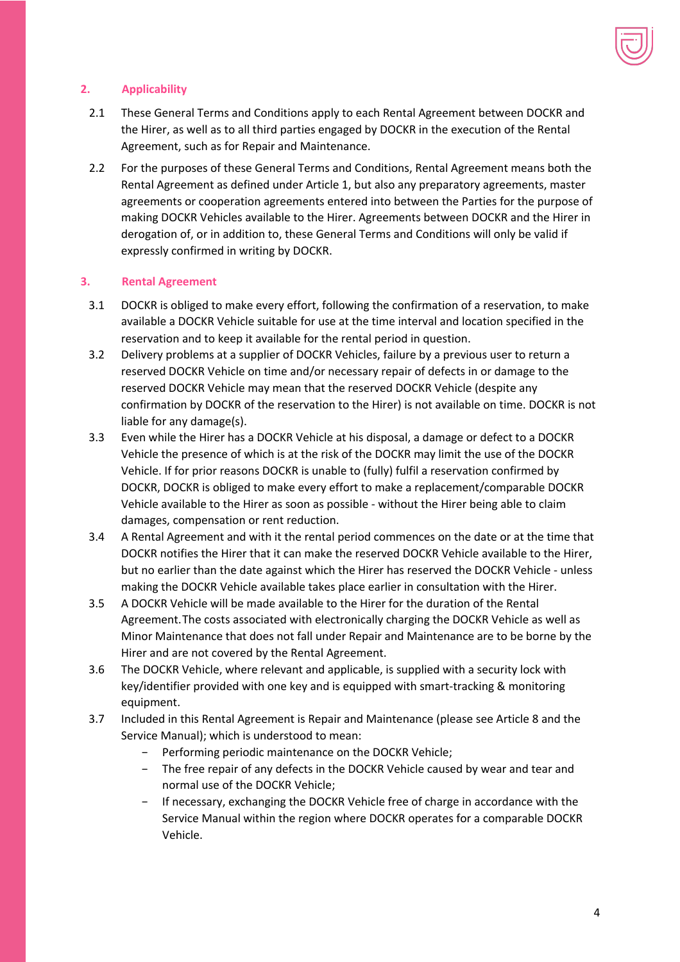

# **2. Applicability**

- 2.1 These General Terms and Conditions apply to each Rental Agreement between DOCKR and the Hirer, as well as to all third parties engaged by DOCKR in the execution of the Rental Agreement, such as for Repair and Maintenance.
- 2.2 For the purposes of these General Terms and Conditions, Rental Agreement means both the Rental Agreement as defined under Article 1, but also any preparatory agreements, master agreements or cooperation agreements entered into between the Parties for the purpose of making DOCKR Vehicles available to the Hirer. Agreements between DOCKR and the Hirer in derogation of, or in addition to, these General Terms and Conditions will only be valid if expressly confirmed in writing by DOCKR.

# **3. Rental Agreement**

- 3.1 DOCKR is obliged to make every effort, following the confirmation of a reservation, to make available a DOCKR Vehicle suitable for use at the time interval and location specified in the reservation and to keep it available for the rental period in question.
- 3.2 Delivery problems at a supplier of DOCKR Vehicles, failure by a previous user to return a reserved DOCKR Vehicle on time and/or necessary repair of defects in or damage to the reserved DOCKR Vehicle may mean that the reserved DOCKR Vehicle (despite any confirmation by DOCKR of the reservation to the Hirer) is not available on time. DOCKR is not liable for any damage(s).
- 3.3 Even while the Hirer has a DOCKR Vehicle at his disposal, a damage or defect to a DOCKR Vehicle the presence of which is at the risk of the DOCKR may limit the use of the DOCKR Vehicle. If for prior reasons DOCKR is unable to (fully) fulfil a reservation confirmed by DOCKR, DOCKR is obliged to make every effort to make a replacement/comparable DOCKR Vehicle available to the Hirer as soon as possible - without the Hirer being able to claim damages, compensation or rent reduction.
- 3.4 A Rental Agreement and with it the rental period commences on the date or at the time that DOCKR notifies the Hirer that it can make the reserved DOCKR Vehicle available to the Hirer, but no earlier than the date against which the Hirer has reserved the DOCKR Vehicle - unless making the DOCKR Vehicle available takes place earlier in consultation with the Hirer.
- 3.5 A DOCKR Vehicle will be made available to the Hirer for the duration of the Rental Agreement.The costs associated with electronically charging the DOCKR Vehicle as well as Minor Maintenance that does not fall under Repair and Maintenance are to be borne by the Hirer and are not covered by the Rental Agreement.
- 3.6 The DOCKR Vehicle, where relevant and applicable, is supplied with a security lock with key/identifier provided with one key and is equipped with smart-tracking & monitoring equipment.
- 3.7 Included in this Rental Agreement is Repair and Maintenance (please see Article 8 and the Service Manual); which is understood to mean:
	- − Performing periodic maintenance on the DOCKR Vehicle;
	- − The free repair of any defects in the DOCKR Vehicle caused by wear and tear and normal use of the DOCKR Vehicle;
	- − If necessary, exchanging the DOCKR Vehicle free of charge in accordance with the Service Manual within the region where DOCKR operates for a comparable DOCKR Vehicle.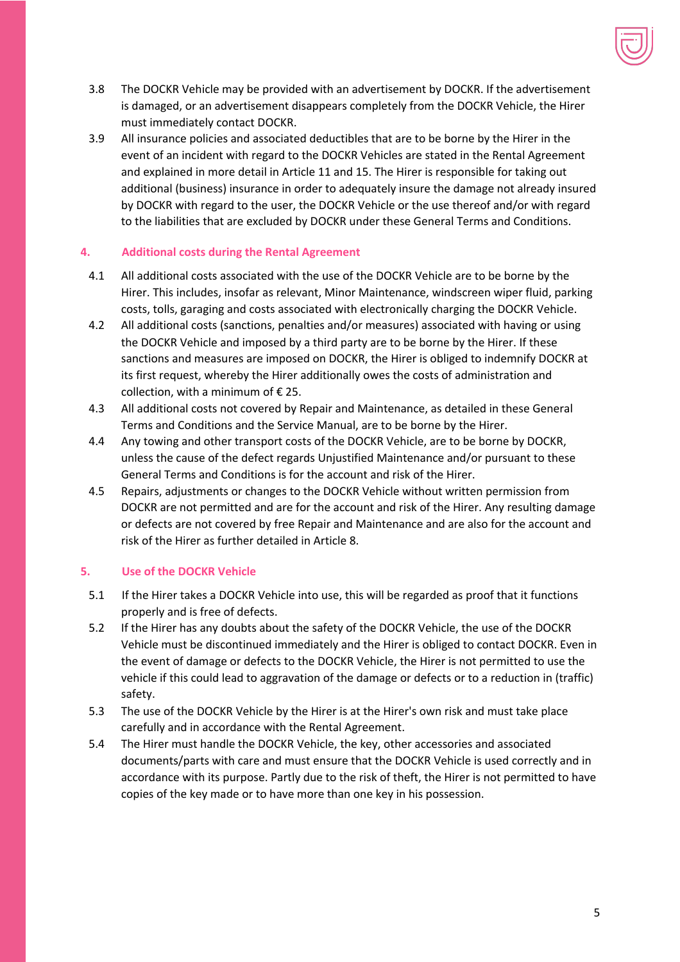

- 3.8 The DOCKR Vehicle may be provided with an advertisement by DOCKR. If the advertisement is damaged, or an advertisement disappears completely from the DOCKR Vehicle, the Hirer must immediately contact DOCKR.
- 3.9 All insurance policies and associated deductibles that are to be borne by the Hirer in the event of an incident with regard to the DOCKR Vehicles are stated in the Rental Agreement and explained in more detail in Article 11 and 15. The Hirer is responsible for taking out additional (business) insurance in order to adequately insure the damage not already insured by DOCKR with regard to the user, the DOCKR Vehicle or the use thereof and/or with regard to the liabilities that are excluded by DOCKR under these General Terms and Conditions.

# **4. Additional costs during the Rental Agreement**

- 4.1 All additional costs associated with the use of the DOCKR Vehicle are to be borne by the Hirer. This includes, insofar as relevant, Minor Maintenance, windscreen wiper fluid, parking costs, tolls, garaging and costs associated with electronically charging the DOCKR Vehicle.
- 4.2 All additional costs (sanctions, penalties and/or measures) associated with having or using the DOCKR Vehicle and imposed by a third party are to be borne by the Hirer. If these sanctions and measures are imposed on DOCKR, the Hirer is obliged to indemnify DOCKR at its first request, whereby the Hirer additionally owes the costs of administration and collection, with a minimum of  $\epsilon$  25.
- 4.3 All additional costs not covered by Repair and Maintenance, as detailed in these General Terms and Conditions and the Service Manual, are to be borne by the Hirer.
- 4.4 Any towing and other transport costs of the DOCKR Vehicle, are to be borne by DOCKR, unless the cause of the defect regards Unjustified Maintenance and/or pursuant to these General Terms and Conditions is for the account and risk of the Hirer.
- 4.5 Repairs, adjustments or changes to the DOCKR Vehicle without written permission from DOCKR are not permitted and are for the account and risk of the Hirer. Any resulting damage or defects are not covered by free Repair and Maintenance and are also for the account and risk of the Hirer as further detailed in Article 8.

# **5. Use of the DOCKR Vehicle**

- 5.1 If the Hirer takes a DOCKR Vehicle into use, this will be regarded as proof that it functions properly and is free of defects.
- 5.2 If the Hirer has any doubts about the safety of the DOCKR Vehicle, the use of the DOCKR Vehicle must be discontinued immediately and the Hirer is obliged to contact DOCKR. Even in the event of damage or defects to the DOCKR Vehicle, the Hirer is not permitted to use the vehicle if this could lead to aggravation of the damage or defects or to a reduction in (traffic) safety.
- 5.3 The use of the DOCKR Vehicle by the Hirer is at the Hirer's own risk and must take place carefully and in accordance with the Rental Agreement.
- 5.4 The Hirer must handle the DOCKR Vehicle, the key, other accessories and associated documents/parts with care and must ensure that the DOCKR Vehicle is used correctly and in accordance with its purpose. Partly due to the risk of theft, the Hirer is not permitted to have copies of the key made or to have more than one key in his possession.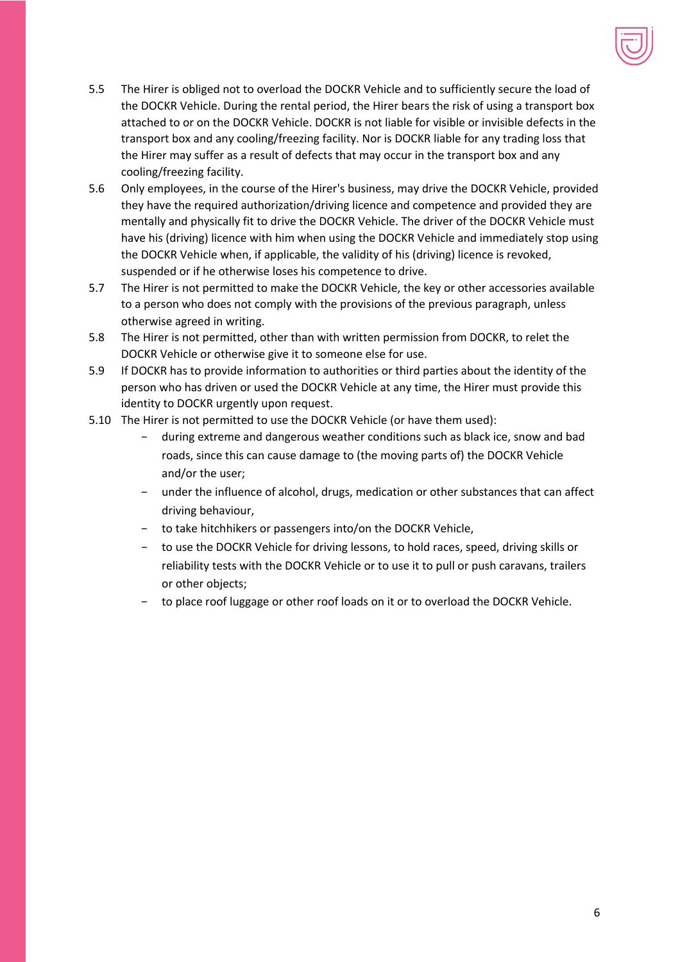

- 5.5 The Hirer is obliged not to overload the DOCKR Vehicle and to sufficiently secure the load of the DOCKR Vehicle. During the rental period, the Hirer bears the risk of using a transport box attached to or on the DOCKR Vehicle. DOCKR is not liable for visible or invisible defects in the transport box and any cooling/freezing facility. Nor is DOCKR liable for any trading loss that the Hirer may suffer as a result of defects that may occur in the transport box and any cooling/freezing facility.
- 5.6 Only employees, in the course of the Hirer's business, may drive the DOCKR Vehicle, provided they have the required authorization/driving licence and competence and provided they are mentally and physically fit to drive the DOCKR Vehicle. The driver of the DOCKR Vehicle must have his (driving) licence with him when using the DOCKR Vehicle and immediately stop using the DOCKR Vehicle when, if applicable, the validity of his (driving) licence is revoked, suspended or if he otherwise loses his competence to drive.
- 5.7 The Hirer is not permitted to make the DOCKR Vehicle, the key or other accessories available to a person who does not comply with the provisions of the previous paragraph, unless otherwise agreed in writing.
- 5.8 The Hirer is not permitted, other than with written permission from DOCKR, to relet the DOCKR Vehicle or otherwise give it to someone else for use.
- 5.9 If DOCKR has to provide information to authorities or third parties about the identity of the person who has driven or used the DOCKR Vehicle at any time, the Hirer must provide this identity to DOCKR urgently upon request.
- 5.10 The Hirer is not permitted to use the DOCKR Vehicle (or have them used):
	- − during extreme and dangerous weather conditions such as black ice, snow and bad roads, since this can cause damage to (the moving parts of) the DOCKR Vehicle and/or the user;
	- − under the influence of alcohol, drugs, medication or other substances that can affect driving behaviour,
	- − to take hitchhikers or passengers into/on the DOCKR Vehicle,
	- − to use the DOCKR Vehicle for driving lessons, to hold races, speed, driving skills or reliability tests with the DOCKR Vehicle or to use it to pull or push caravans, trailers or other objects;
	- − to place roof luggage or other roof loads on it or to overload the DOCKR Vehicle.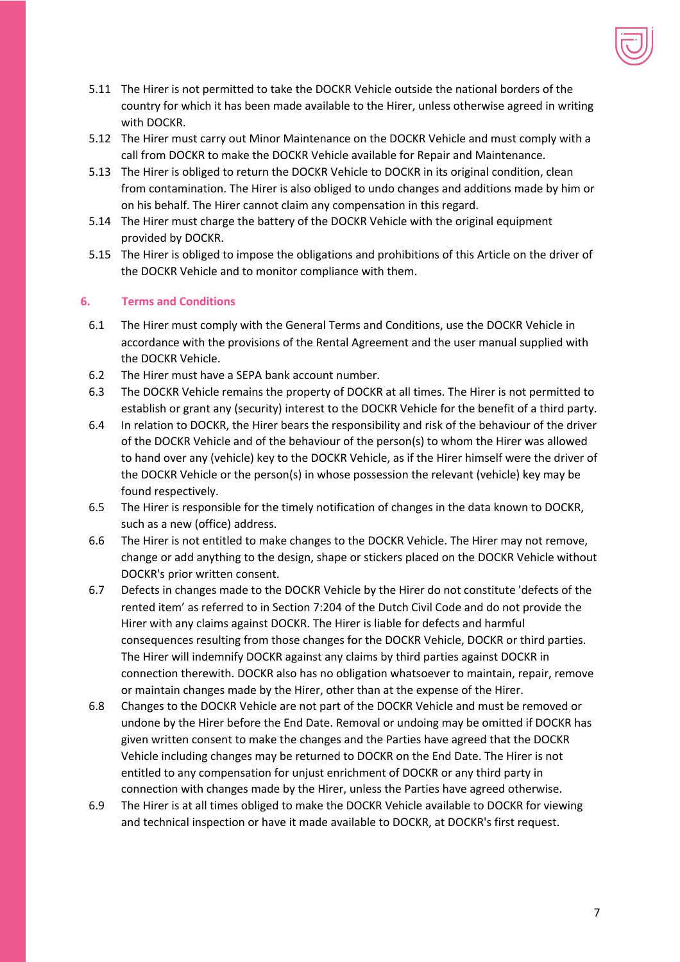

- 5.11 The Hirer is not permitted to take the DOCKR Vehicle outside the national borders of the country for which it has been made available to the Hirer, unless otherwise agreed in writing with DOCKR.
- 5.12 The Hirer must carry out Minor Maintenance on the DOCKR Vehicle and must comply with a call from DOCKR to make the DOCKR Vehicle available for Repair and Maintenance.
- 5.13 The Hirer is obliged to return the DOCKR Vehicle to DOCKR in its original condition, clean from contamination. The Hirer is also obliged to undo changes and additions made by him or on his behalf. The Hirer cannot claim any compensation in this regard.
- 5.14 The Hirer must charge the battery of the DOCKR Vehicle with the original equipment provided by DOCKR.
- 5.15 The Hirer is obliged to impose the obligations and prohibitions of this Article on the driver of the DOCKR Vehicle and to monitor compliance with them.

#### **6. Terms and Conditions**

- 6.1 The Hirer must comply with the General Terms and Conditions, use the DOCKR Vehicle in accordance with the provisions of the Rental Agreement and the user manual supplied with the DOCKR Vehicle.
- 6.2 The Hirer must have a SEPA bank account number.
- 6.3 The DOCKR Vehicle remains the property of DOCKR at all times. The Hirer is not permitted to establish or grant any (security) interest to the DOCKR Vehicle for the benefit of a third party.
- 6.4 In relation to DOCKR, the Hirer bears the responsibility and risk of the behaviour of the driver of the DOCKR Vehicle and of the behaviour of the person(s) to whom the Hirer was allowed to hand over any (vehicle) key to the DOCKR Vehicle, as if the Hirer himself were the driver of the DOCKR Vehicle or the person(s) in whose possession the relevant (vehicle) key may be found respectively.
- 6.5 The Hirer is responsible for the timely notification of changes in the data known to DOCKR, such as a new (office) address.
- 6.6 The Hirer is not entitled to make changes to the DOCKR Vehicle. The Hirer may not remove, change or add anything to the design, shape or stickers placed on the DOCKR Vehicle without DOCKR's prior written consent.
- 6.7 Defects in changes made to the DOCKR Vehicle by the Hirer do not constitute 'defects of the rented item' as referred to in Section 7:204 of the Dutch Civil Code and do not provide the Hirer with any claims against DOCKR. The Hirer is liable for defects and harmful consequences resulting from those changes for the DOCKR Vehicle, DOCKR or third parties. The Hirer will indemnify DOCKR against any claims by third parties against DOCKR in connection therewith. DOCKR also has no obligation whatsoever to maintain, repair, remove or maintain changes made by the Hirer, other than at the expense of the Hirer.
- 6.8 Changes to the DOCKR Vehicle are not part of the DOCKR Vehicle and must be removed or undone by the Hirer before the End Date. Removal or undoing may be omitted if DOCKR has given written consent to make the changes and the Parties have agreed that the DOCKR Vehicle including changes may be returned to DOCKR on the End Date. The Hirer is not entitled to any compensation for unjust enrichment of DOCKR or any third party in connection with changes made by the Hirer, unless the Parties have agreed otherwise.
- 6.9 The Hirer is at all times obliged to make the DOCKR Vehicle available to DOCKR for viewing and technical inspection or have it made available to DOCKR, at DOCKR's first request.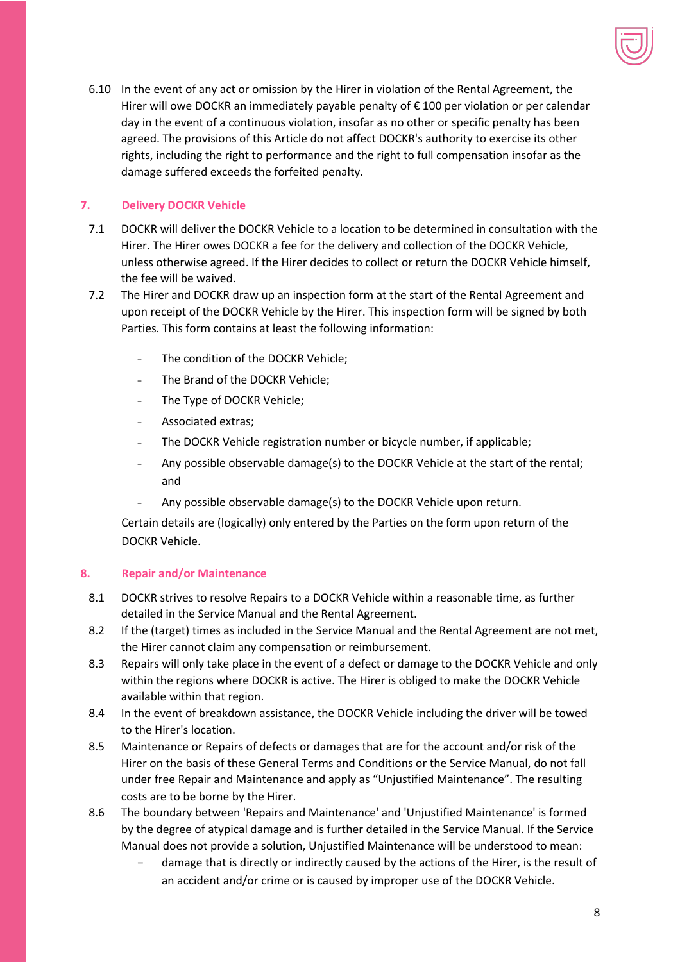

6.10 In the event of any act or omission by the Hirer in violation of the Rental Agreement, the Hirer will owe DOCKR an immediately payable penalty of € 100 per violation or per calendar day in the event of a continuous violation, insofar as no other or specific penalty has been agreed. The provisions of this Article do not affect DOCKR's authority to exercise its other rights, including the right to performance and the right to full compensation insofar as the damage suffered exceeds the forfeited penalty.

# **7. Delivery DOCKR Vehicle**

- 7.1 DOCKR will deliver the DOCKR Vehicle to a location to be determined in consultation with the Hirer. The Hirer owes DOCKR a fee for the delivery and collection of the DOCKR Vehicle, unless otherwise agreed. If the Hirer decides to collect or return the DOCKR Vehicle himself, the fee will be waived.
- 7.2 The Hirer and DOCKR draw up an inspection form at the start of the Rental Agreement and upon receipt of the DOCKR Vehicle by the Hirer. This inspection form will be signed by both Parties. This form contains at least the following information:
	- The condition of the DOCKR Vehicle:
	- − The Brand of the DOCKR Vehicle;
	- The Type of DOCKR Vehicle;
	- − Associated extras;
	- − The DOCKR Vehicle registration number or bicycle number, if applicable;
	- − Any possible observable damage(s) to the DOCKR Vehicle at the start of the rental; and
	- − Any possible observable damage(s) to the DOCKR Vehicle upon return.

Certain details are (logically) only entered by the Parties on the form upon return of the DOCKR Vehicle.

# **8. Repair and/or Maintenance**

- 8.1 DOCKR strives to resolve Repairs to a DOCKR Vehicle within a reasonable time, as further detailed in the Service Manual and the Rental Agreement.
- 8.2 If the (target) times as included in the Service Manual and the Rental Agreement are not met, the Hirer cannot claim any compensation or reimbursement.
- 8.3 Repairs will only take place in the event of a defect or damage to the DOCKR Vehicle and only within the regions where DOCKR is active. The Hirer is obliged to make the DOCKR Vehicle available within that region.
- 8.4 In the event of breakdown assistance, the DOCKR Vehicle including the driver will be towed to the Hirer's location.
- 8.5 Maintenance or Repairs of defects or damages that are for the account and/or risk of the Hirer on the basis of these General Terms and Conditions or the Service Manual, do not fall under free Repair and Maintenance and apply as "Unjustified Maintenance". The resulting costs are to be borne by the Hirer.
- 8.6 The boundary between 'Repairs and Maintenance' and 'Unjustified Maintenance' is formed by the degree of atypical damage and is further detailed in the Service Manual. If the Service Manual does not provide a solution, Unjustified Maintenance will be understood to mean:
	- damage that is directly or indirectly caused by the actions of the Hirer, is the result of an accident and/or crime or is caused by improper use of the DOCKR Vehicle.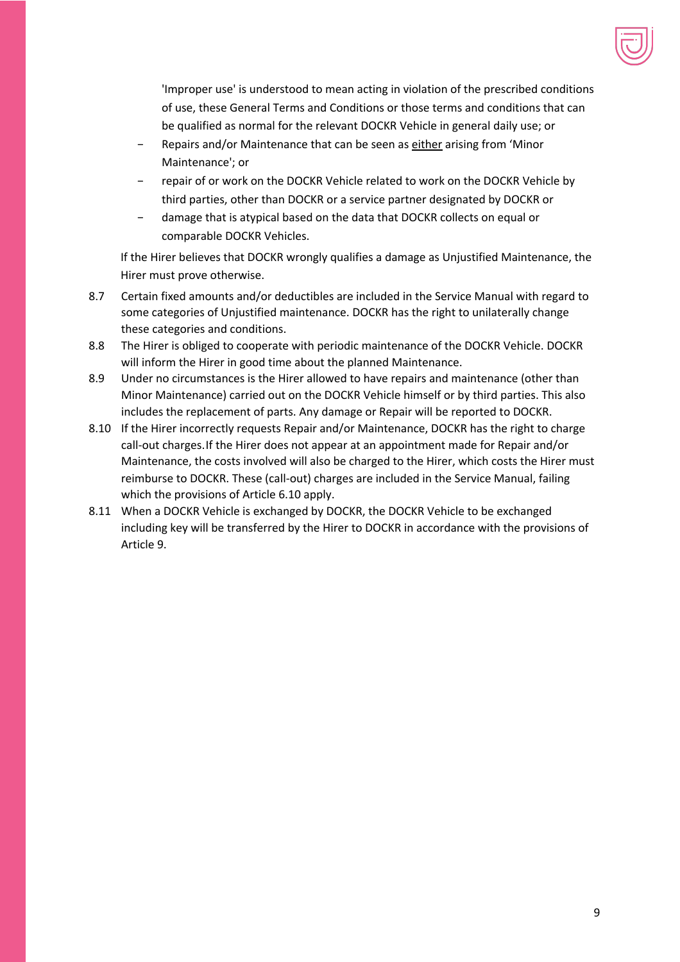

'Improper use' is understood to mean acting in violation of the prescribed conditions of use, these General Terms and Conditions or those terms and conditions that can be qualified as normal for the relevant DOCKR Vehicle in general daily use; or

- − Repairs and/or Maintenance that can be seen as either arising from 'Minor Maintenance'; or
- repair of or work on the DOCKR Vehicle related to work on the DOCKR Vehicle by third parties, other than DOCKR or a service partner designated by DOCKR or
- damage that is atypical based on the data that DOCKR collects on equal or comparable DOCKR Vehicles.

If the Hirer believes that DOCKR wrongly qualifies a damage as Unjustified Maintenance, the Hirer must prove otherwise.

- 8.7 Certain fixed amounts and/or deductibles are included in the Service Manual with regard to some categories of Unjustified maintenance. DOCKR has the right to unilaterally change these categories and conditions.
- 8.8 The Hirer is obliged to cooperate with periodic maintenance of the DOCKR Vehicle. DOCKR will inform the Hirer in good time about the planned Maintenance.
- 8.9 Under no circumstances is the Hirer allowed to have repairs and maintenance (other than Minor Maintenance) carried out on the DOCKR Vehicle himself or by third parties. This also includes the replacement of parts. Any damage or Repair will be reported to DOCKR.
- 8.10 If the Hirer incorrectly requests Repair and/or Maintenance, DOCKR has the right to charge call-out charges.If the Hirer does not appear at an appointment made for Repair and/or Maintenance, the costs involved will also be charged to the Hirer, which costs the Hirer must reimburse to DOCKR. These (call-out) charges are included in the Service Manual, failing which the provisions of Article 6.10 apply.
- 8.11 When a DOCKR Vehicle is exchanged by DOCKR, the DOCKR Vehicle to be exchanged including key will be transferred by the Hirer to DOCKR in accordance with the provisions of Article 9.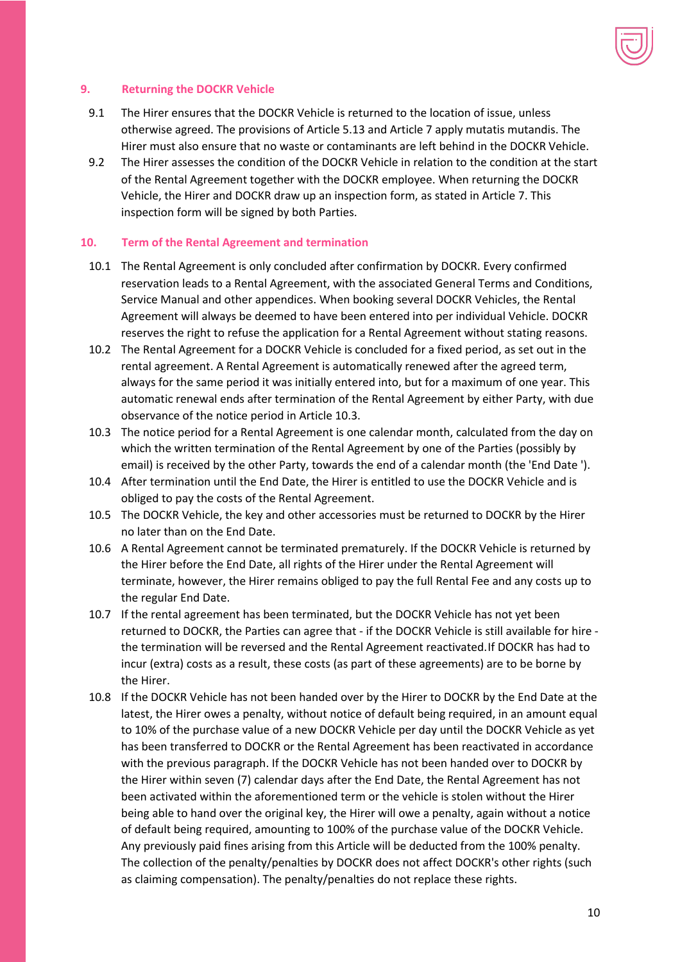

#### **9. Returning the DOCKR Vehicle**

- 9.1 The Hirer ensures that the DOCKR Vehicle is returned to the location of issue, unless otherwise agreed. The provisions of Article 5.13 and Article 7 apply mutatis mutandis. The Hirer must also ensure that no waste or contaminants are left behind in the DOCKR Vehicle.
- 9.2 The Hirer assesses the condition of the DOCKR Vehicle in relation to the condition at the start of the Rental Agreement together with the DOCKR employee. When returning the DOCKR Vehicle, the Hirer and DOCKR draw up an inspection form, as stated in Article 7. This inspection form will be signed by both Parties.

#### **10. Term of the Rental Agreement and termination**

- 10.1 The Rental Agreement is only concluded after confirmation by DOCKR. Every confirmed reservation leads to a Rental Agreement, with the associated General Terms and Conditions, Service Manual and other appendices. When booking several DOCKR Vehicles, the Rental Agreement will always be deemed to have been entered into per individual Vehicle. DOCKR reserves the right to refuse the application for a Rental Agreement without stating reasons.
- 10.2 The Rental Agreement for a DOCKR Vehicle is concluded for a fixed period, as set out in the rental agreement. A Rental Agreement is automatically renewed after the agreed term, always for the same period it was initially entered into, but for a maximum of one year. This automatic renewal ends after termination of the Rental Agreement by either Party, with due observance of the notice period in Article 10.3.
- 10.3 The notice period for a Rental Agreement is one calendar month, calculated from the day on which the written termination of the Rental Agreement by one of the Parties (possibly by email) is received by the other Party, towards the end of a calendar month (the 'End Date ').
- 10.4 After termination until the End Date, the Hirer is entitled to use the DOCKR Vehicle and is obliged to pay the costs of the Rental Agreement.
- 10.5 The DOCKR Vehicle, the key and other accessories must be returned to DOCKR by the Hirer no later than on the End Date.
- 10.6 A Rental Agreement cannot be terminated prematurely. If the DOCKR Vehicle is returned by the Hirer before the End Date, all rights of the Hirer under the Rental Agreement will terminate, however, the Hirer remains obliged to pay the full Rental Fee and any costs up to the regular End Date.
- 10.7 If the rental agreement has been terminated, but the DOCKR Vehicle has not yet been returned to DOCKR, the Parties can agree that - if the DOCKR Vehicle is still available for hire the termination will be reversed and the Rental Agreement reactivated.If DOCKR has had to incur (extra) costs as a result, these costs (as part of these agreements) are to be borne by the Hirer.
- 10.8 If the DOCKR Vehicle has not been handed over by the Hirer to DOCKR by the End Date at the latest, the Hirer owes a penalty, without notice of default being required, in an amount equal to 10% of the purchase value of a new DOCKR Vehicle per day until the DOCKR Vehicle as yet has been transferred to DOCKR or the Rental Agreement has been reactivated in accordance with the previous paragraph. If the DOCKR Vehicle has not been handed over to DOCKR by the Hirer within seven (7) calendar days after the End Date, the Rental Agreement has not been activated within the aforementioned term or the vehicle is stolen without the Hirer being able to hand over the original key, the Hirer will owe a penalty, again without a notice of default being required, amounting to 100% of the purchase value of the DOCKR Vehicle. Any previously paid fines arising from this Article will be deducted from the 100% penalty. The collection of the penalty/penalties by DOCKR does not affect DOCKR's other rights (such as claiming compensation). The penalty/penalties do not replace these rights.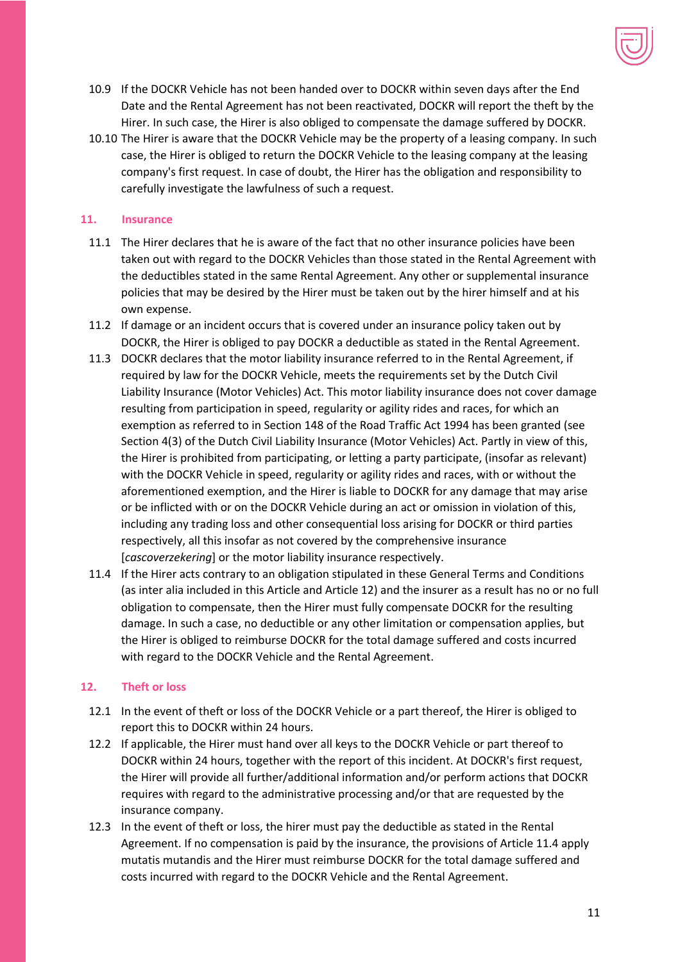

- 10.9 If the DOCKR Vehicle has not been handed over to DOCKR within seven days after the End Date and the Rental Agreement has not been reactivated, DOCKR will report the theft by the Hirer. In such case, the Hirer is also obliged to compensate the damage suffered by DOCKR.
- 10.10 The Hirer is aware that the DOCKR Vehicle may be the property of a leasing company. In such case, the Hirer is obliged to return the DOCKR Vehicle to the leasing company at the leasing company's first request. In case of doubt, the Hirer has the obligation and responsibility to carefully investigate the lawfulness of such a request.

# **11. Insurance**

- 11.1 The Hirer declares that he is aware of the fact that no other insurance policies have been taken out with regard to the DOCKR Vehicles than those stated in the Rental Agreement with the deductibles stated in the same Rental Agreement. Any other or supplemental insurance policies that may be desired by the Hirer must be taken out by the hirer himself and at his own expense.
- 11.2 If damage or an incident occurs that is covered under an insurance policy taken out by DOCKR, the Hirer is obliged to pay DOCKR a deductible as stated in the Rental Agreement.
- 11.3 DOCKR declares that the motor liability insurance referred to in the Rental Agreement, if required by law for the DOCKR Vehicle, meets the requirements set by the Dutch Civil Liability Insurance (Motor Vehicles) Act. This motor liability insurance does not cover damage resulting from participation in speed, regularity or agility rides and races, for which an exemption as referred to in Section 148 of the Road Traffic Act 1994 has been granted (see Section 4(3) of the Dutch Civil Liability Insurance (Motor Vehicles) Act. Partly in view of this, the Hirer is prohibited from participating, or letting a party participate, (insofar as relevant) with the DOCKR Vehicle in speed, regularity or agility rides and races, with or without the aforementioned exemption, and the Hirer is liable to DOCKR for any damage that may arise or be inflicted with or on the DOCKR Vehicle during an act or omission in violation of this, including any trading loss and other consequential loss arising for DOCKR or third parties respectively, all this insofar as not covered by the comprehensive insurance [*cascoverzekering*] or the motor liability insurance respectively.
- 11.4 If the Hirer acts contrary to an obligation stipulated in these General Terms and Conditions (as inter alia included in this Article and Article 12) and the insurer as a result has no or no full obligation to compensate, then the Hirer must fully compensate DOCKR for the resulting damage. In such a case, no deductible or any other limitation or compensation applies, but the Hirer is obliged to reimburse DOCKR for the total damage suffered and costs incurred with regard to the DOCKR Vehicle and the Rental Agreement.

# **12. Theft or loss**

- 12.1 In the event of theft or loss of the DOCKR Vehicle or a part thereof, the Hirer is obliged to report this to DOCKR within 24 hours.
- 12.2 If applicable, the Hirer must hand over all keys to the DOCKR Vehicle or part thereof to DOCKR within 24 hours, together with the report of this incident. At DOCKR's first request, the Hirer will provide all further/additional information and/or perform actions that DOCKR requires with regard to the administrative processing and/or that are requested by the insurance company.
- 12.3 In the event of theft or loss, the hirer must pay the deductible as stated in the Rental Agreement. If no compensation is paid by the insurance, the provisions of Article 11.4 apply mutatis mutandis and the Hirer must reimburse DOCKR for the total damage suffered and costs incurred with regard to the DOCKR Vehicle and the Rental Agreement.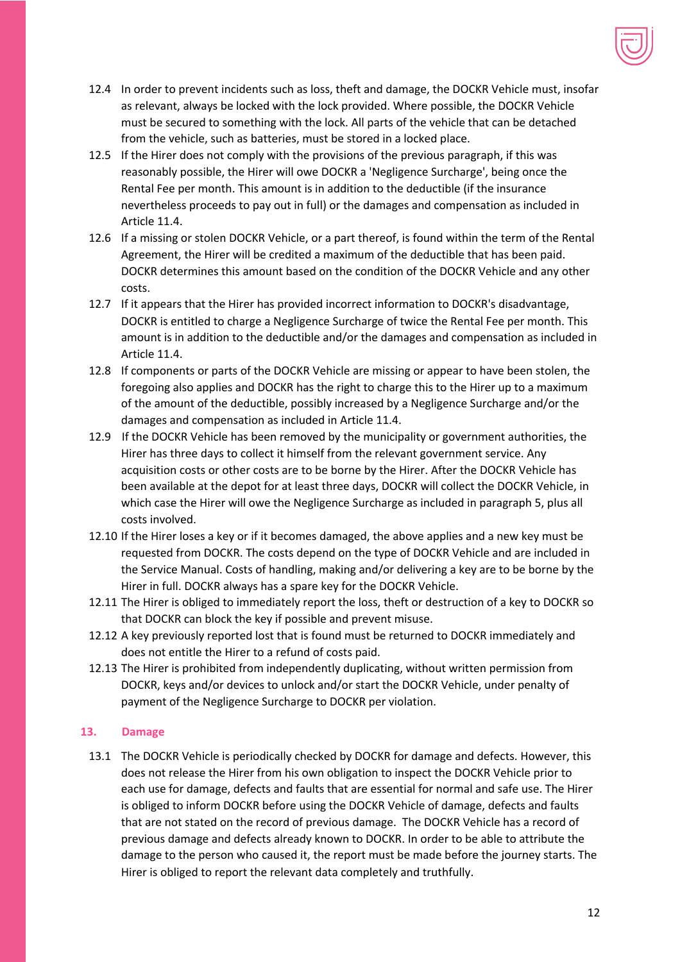

- 12.4 In order to prevent incidents such as loss, theft and damage, the DOCKR Vehicle must, insofar as relevant, always be locked with the lock provided. Where possible, the DOCKR Vehicle must be secured to something with the lock. All parts of the vehicle that can be detached from the vehicle, such as batteries, must be stored in a locked place.
- 12.5 If the Hirer does not comply with the provisions of the previous paragraph, if this was reasonably possible, the Hirer will owe DOCKR a 'Negligence Surcharge', being once the Rental Fee per month. This amount is in addition to the deductible (if the insurance nevertheless proceeds to pay out in full) or the damages and compensation as included in Article 11.4.
- 12.6 If a missing or stolen DOCKR Vehicle, or a part thereof, is found within the term of the Rental Agreement, the Hirer will be credited a maximum of the deductible that has been paid. DOCKR determines this amount based on the condition of the DOCKR Vehicle and any other costs.
- 12.7 If it appears that the Hirer has provided incorrect information to DOCKR's disadvantage, DOCKR is entitled to charge a Negligence Surcharge of twice the Rental Fee per month. This amount is in addition to the deductible and/or the damages and compensation as included in Article 11.4.
- 12.8 If components or parts of the DOCKR Vehicle are missing or appear to have been stolen, the foregoing also applies and DOCKR has the right to charge this to the Hirer up to a maximum of the amount of the deductible, possibly increased by a Negligence Surcharge and/or the damages and compensation as included in Article 11.4.
- 12.9 If the DOCKR Vehicle has been removed by the municipality or government authorities, the Hirer has three days to collect it himself from the relevant government service. Any acquisition costs or other costs are to be borne by the Hirer. After the DOCKR Vehicle has been available at the depot for at least three days, DOCKR will collect the DOCKR Vehicle, in which case the Hirer will owe the Negligence Surcharge as included in paragraph 5, plus all costs involved.
- 12.10 If the Hirer loses a key or if it becomes damaged, the above applies and a new key must be requested from DOCKR. The costs depend on the type of DOCKR Vehicle and are included in the Service Manual. Costs of handling, making and/or delivering a key are to be borne by the Hirer in full. DOCKR always has a spare key for the DOCKR Vehicle.
- 12.11 The Hirer is obliged to immediately report the loss, theft or destruction of a key to DOCKR so that DOCKR can block the key if possible and prevent misuse.
- 12.12 A key previously reported lost that is found must be returned to DOCKR immediately and does not entitle the Hirer to a refund of costs paid.
- 12.13 The Hirer is prohibited from independently duplicating, without written permission from DOCKR, keys and/or devices to unlock and/or start the DOCKR Vehicle, under penalty of payment of the Negligence Surcharge to DOCKR per violation.

# **13. Damage**

13.1 The DOCKR Vehicle is periodically checked by DOCKR for damage and defects. However, this does not release the Hirer from his own obligation to inspect the DOCKR Vehicle prior to each use for damage, defects and faults that are essential for normal and safe use. The Hirer is obliged to inform DOCKR before using the DOCKR Vehicle of damage, defects and faults that are not stated on the record of previous damage. The DOCKR Vehicle has a record of previous damage and defects already known to DOCKR. In order to be able to attribute the damage to the person who caused it, the report must be made before the journey starts. The Hirer is obliged to report the relevant data completely and truthfully.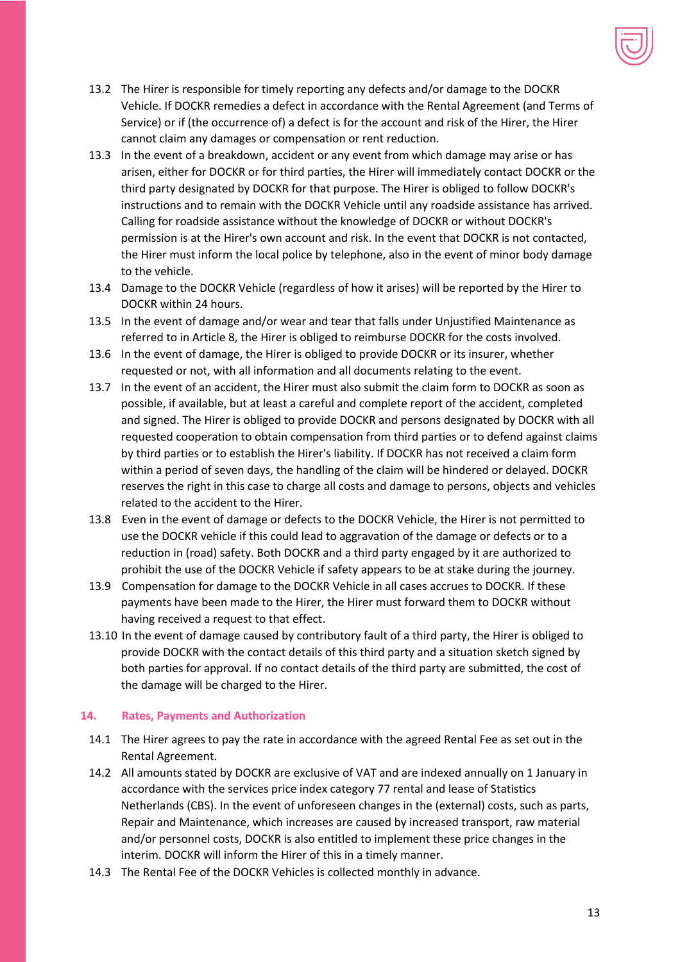

- 13.2 The Hirer is responsible for timely reporting any defects and/or damage to the DOCKR Vehicle. If DOCKR remedies a defect in accordance with the Rental Agreement (and Terms of Service) or if (the occurrence of) a defect is for the account and risk of the Hirer, the Hirer cannot claim any damages or compensation or rent reduction.
- 13.3 In the event of a breakdown, accident or any event from which damage may arise or has arisen, either for DOCKR or for third parties, the Hirer will immediately contact DOCKR or the third party designated by DOCKR for that purpose. The Hirer is obliged to follow DOCKR's instructions and to remain with the DOCKR Vehicle until any roadside assistance has arrived. Calling for roadside assistance without the knowledge of DOCKR or without DOCKR's permission is at the Hirer's own account and risk. In the event that DOCKR is not contacted, the Hirer must inform the local police by telephone, also in the event of minor body damage to the vehicle.
- 13.4 Damage to the DOCKR Vehicle (regardless of how it arises) will be reported by the Hirer to DOCKR within 24 hours.
- 13.5 In the event of damage and/or wear and tear that falls under Unjustified Maintenance as referred to in Article 8, the Hirer is obliged to reimburse DOCKR for the costs involved.
- 13.6 In the event of damage, the Hirer is obliged to provide DOCKR or its insurer, whether requested or not, with all information and all documents relating to the event.
- 13.7 In the event of an accident, the Hirer must also submit the claim form to DOCKR as soon as possible, if available, but at least a careful and complete report of the accident, completed and signed. The Hirer is obliged to provide DOCKR and persons designated by DOCKR with all requested cooperation to obtain compensation from third parties or to defend against claims by third parties or to establish the Hirer's liability. If DOCKR has not received a claim form within a period of seven days, the handling of the claim will be hindered or delayed. DOCKR reserves the right in this case to charge all costs and damage to persons, objects and vehicles related to the accident to the Hirer.
- 13.8 Even in the event of damage or defects to the DOCKR Vehicle, the Hirer is not permitted to use the DOCKR vehicle if this could lead to aggravation of the damage or defects or to a reduction in (road) safety. Both DOCKR and a third party engaged by it are authorized to prohibit the use of the DOCKR Vehicle if safety appears to be at stake during the journey.
- 13.9 Compensation for damage to the DOCKR Vehicle in all cases accrues to DOCKR. If these payments have been made to the Hirer, the Hirer must forward them to DOCKR without having received a request to that effect.
- 13.10 In the event of damage caused by contributory fault of a third party, the Hirer is obliged to provide DOCKR with the contact details of this third party and a situation sketch signed by both parties for approval. If no contact details of the third party are submitted, the cost of the damage will be charged to the Hirer.

# **14. Rates, Payments and Authorization**

- 14.1 The Hirer agrees to pay the rate in accordance with the agreed Rental Fee as set out in the Rental Agreement.
- 14.2 All amounts stated by DOCKR are exclusive of VAT and are indexed annually on 1 January in accordance with the services price index category 77 rental and lease of Statistics Netherlands (CBS). In the event of unforeseen changes in the (external) costs, such as parts, Repair and Maintenance, which increases are caused by increased transport, raw material and/or personnel costs, DOCKR is also entitled to implement these price changes in the interim. DOCKR will inform the Hirer of this in a timely manner.
- 14.3 The Rental Fee of the DOCKR Vehicles is collected monthly in advance.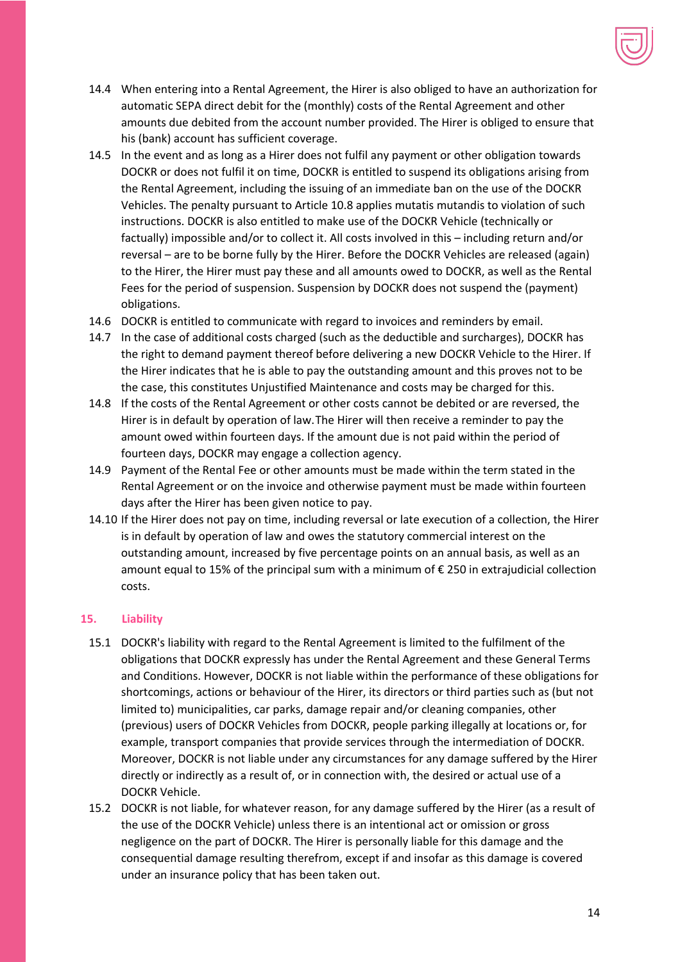

- 14.4 When entering into a Rental Agreement, the Hirer is also obliged to have an authorization for automatic SEPA direct debit for the (monthly) costs of the Rental Agreement and other amounts due debited from the account number provided. The Hirer is obliged to ensure that his (bank) account has sufficient coverage.
- 14.5 In the event and as long as a Hirer does not fulfil any payment or other obligation towards DOCKR or does not fulfil it on time, DOCKR is entitled to suspend its obligations arising from the Rental Agreement, including the issuing of an immediate ban on the use of the DOCKR Vehicles. The penalty pursuant to Article 10.8 applies mutatis mutandis to violation of such instructions. DOCKR is also entitled to make use of the DOCKR Vehicle (technically or factually) impossible and/or to collect it. All costs involved in this – including return and/or reversal – are to be borne fully by the Hirer. Before the DOCKR Vehicles are released (again) to the Hirer, the Hirer must pay these and all amounts owed to DOCKR, as well as the Rental Fees for the period of suspension. Suspension by DOCKR does not suspend the (payment) obligations.
- 14.6 DOCKR is entitled to communicate with regard to invoices and reminders by email.
- 14.7 In the case of additional costs charged (such as the deductible and surcharges), DOCKR has the right to demand payment thereof before delivering a new DOCKR Vehicle to the Hirer. If the Hirer indicates that he is able to pay the outstanding amount and this proves not to be the case, this constitutes Unjustified Maintenance and costs may be charged for this.
- 14.8 If the costs of the Rental Agreement or other costs cannot be debited or are reversed, the Hirer is in default by operation of law.The Hirer will then receive a reminder to pay the amount owed within fourteen days. If the amount due is not paid within the period of fourteen days, DOCKR may engage a collection agency.
- 14.9 Payment of the Rental Fee or other amounts must be made within the term stated in the Rental Agreement or on the invoice and otherwise payment must be made within fourteen days after the Hirer has been given notice to pay.
- 14.10 If the Hirer does not pay on time, including reversal or late execution of a collection, the Hirer is in default by operation of law and owes the statutory commercial interest on the outstanding amount, increased by five percentage points on an annual basis, as well as an amount equal to 15% of the principal sum with a minimum of € 250 in extrajudicial collection costs.

# **15. Liability**

- 15.1 DOCKR's liability with regard to the Rental Agreement is limited to the fulfilment of the obligations that DOCKR expressly has under the Rental Agreement and these General Terms and Conditions. However, DOCKR is not liable within the performance of these obligations for shortcomings, actions or behaviour of the Hirer, its directors or third parties such as (but not limited to) municipalities, car parks, damage repair and/or cleaning companies, other (previous) users of DOCKR Vehicles from DOCKR, people parking illegally at locations or, for example, transport companies that provide services through the intermediation of DOCKR. Moreover, DOCKR is not liable under any circumstances for any damage suffered by the Hirer directly or indirectly as a result of, or in connection with, the desired or actual use of a DOCKR Vehicle.
- 15.2 DOCKR is not liable, for whatever reason, for any damage suffered by the Hirer (as a result of the use of the DOCKR Vehicle) unless there is an intentional act or omission or gross negligence on the part of DOCKR. The Hirer is personally liable for this damage and the consequential damage resulting therefrom, except if and insofar as this damage is covered under an insurance policy that has been taken out.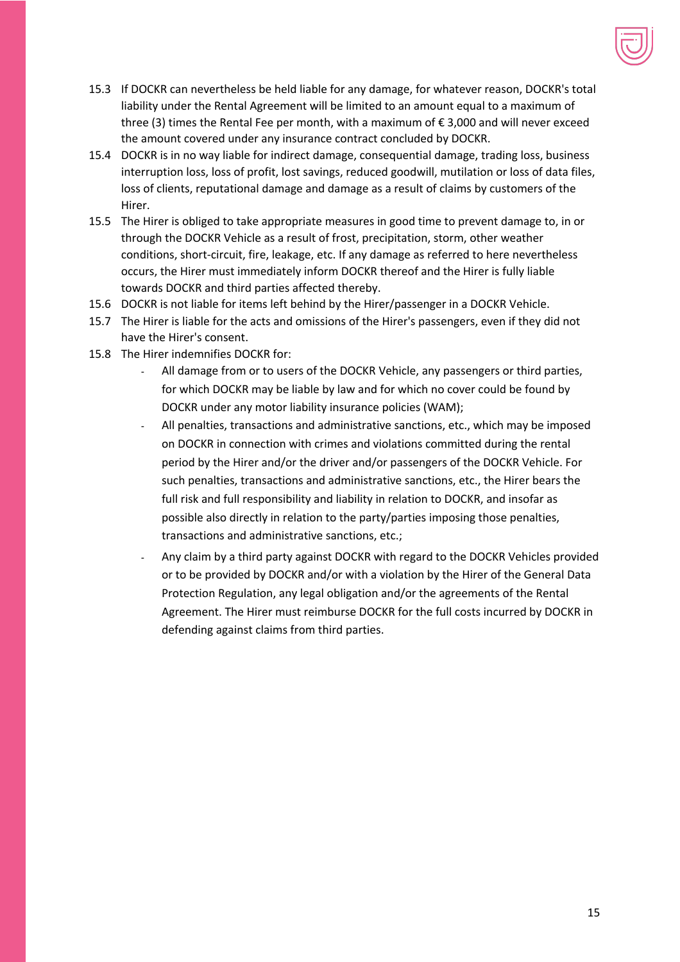

- 15.3 If DOCKR can nevertheless be held liable for any damage, for whatever reason, DOCKR's total liability under the Rental Agreement will be limited to an amount equal to a maximum of three (3) times the Rental Fee per month, with a maximum of  $\epsilon$  3,000 and will never exceed the amount covered under any insurance contract concluded by DOCKR.
- 15.4 DOCKR is in no way liable for indirect damage, consequential damage, trading loss, business interruption loss, loss of profit, lost savings, reduced goodwill, mutilation or loss of data files, loss of clients, reputational damage and damage as a result of claims by customers of the Hirer.
- 15.5 The Hirer is obliged to take appropriate measures in good time to prevent damage to, in or through the DOCKR Vehicle as a result of frost, precipitation, storm, other weather conditions, short-circuit, fire, leakage, etc. If any damage as referred to here nevertheless occurs, the Hirer must immediately inform DOCKR thereof and the Hirer is fully liable towards DOCKR and third parties affected thereby.
- 15.6 DOCKR is not liable for items left behind by the Hirer/passenger in a DOCKR Vehicle.
- 15.7 The Hirer is liable for the acts and omissions of the Hirer's passengers, even if they did not have the Hirer's consent.
- 15.8 The Hirer indemnifies DOCKR for:
	- All damage from or to users of the DOCKR Vehicle, any passengers or third parties, for which DOCKR may be liable by law and for which no cover could be found by DOCKR under any motor liability insurance policies (WAM);
	- All penalties, transactions and administrative sanctions, etc., which may be imposed on DOCKR in connection with crimes and violations committed during the rental period by the Hirer and/or the driver and/or passengers of the DOCKR Vehicle. For such penalties, transactions and administrative sanctions, etc., the Hirer bears the full risk and full responsibility and liability in relation to DOCKR, and insofar as possible also directly in relation to the party/parties imposing those penalties, transactions and administrative sanctions, etc.;
	- Any claim by a third party against DOCKR with regard to the DOCKR Vehicles provided or to be provided by DOCKR and/or with a violation by the Hirer of the General Data Protection Regulation, any legal obligation and/or the agreements of the Rental Agreement. The Hirer must reimburse DOCKR for the full costs incurred by DOCKR in defending against claims from third parties.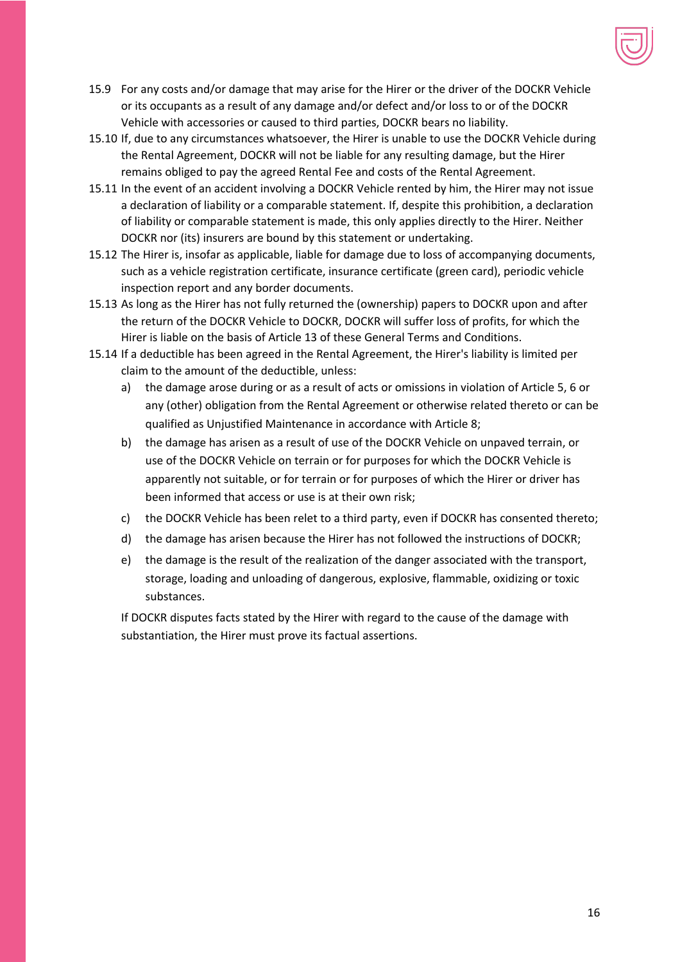

- 15.9 For any costs and/or damage that may arise for the Hirer or the driver of the DOCKR Vehicle or its occupants as a result of any damage and/or defect and/or loss to or of the DOCKR Vehicle with accessories or caused to third parties, DOCKR bears no liability.
- 15.10 If, due to any circumstances whatsoever, the Hirer is unable to use the DOCKR Vehicle during the Rental Agreement, DOCKR will not be liable for any resulting damage, but the Hirer remains obliged to pay the agreed Rental Fee and costs of the Rental Agreement.
- 15.11 In the event of an accident involving a DOCKR Vehicle rented by him, the Hirer may not issue a declaration of liability or a comparable statement. If, despite this prohibition, a declaration of liability or comparable statement is made, this only applies directly to the Hirer. Neither DOCKR nor (its) insurers are bound by this statement or undertaking.
- 15.12 The Hirer is, insofar as applicable, liable for damage due to loss of accompanying documents, such as a vehicle registration certificate, insurance certificate (green card), periodic vehicle inspection report and any border documents.
- 15.13 As long as the Hirer has not fully returned the (ownership) papers to DOCKR upon and after the return of the DOCKR Vehicle to DOCKR, DOCKR will suffer loss of profits, for which the Hirer is liable on the basis of Article 13 of these General Terms and Conditions.
- 15.14 If a deductible has been agreed in the Rental Agreement, the Hirer's liability is limited per claim to the amount of the deductible, unless:
	- a) the damage arose during or as a result of acts or omissions in violation of Article 5, 6 or any (other) obligation from the Rental Agreement or otherwise related thereto or can be qualified as Unjustified Maintenance in accordance with Article 8;
	- b) the damage has arisen as a result of use of the DOCKR Vehicle on unpaved terrain, or use of the DOCKR Vehicle on terrain or for purposes for which the DOCKR Vehicle is apparently not suitable, or for terrain or for purposes of which the Hirer or driver has been informed that access or use is at their own risk;
	- c) the DOCKR Vehicle has been relet to a third party, even if DOCKR has consented thereto;
	- d) the damage has arisen because the Hirer has not followed the instructions of DOCKR;
	- e) the damage is the result of the realization of the danger associated with the transport, storage, loading and unloading of dangerous, explosive, flammable, oxidizing or toxic substances.

If DOCKR disputes facts stated by the Hirer with regard to the cause of the damage with substantiation, the Hirer must prove its factual assertions.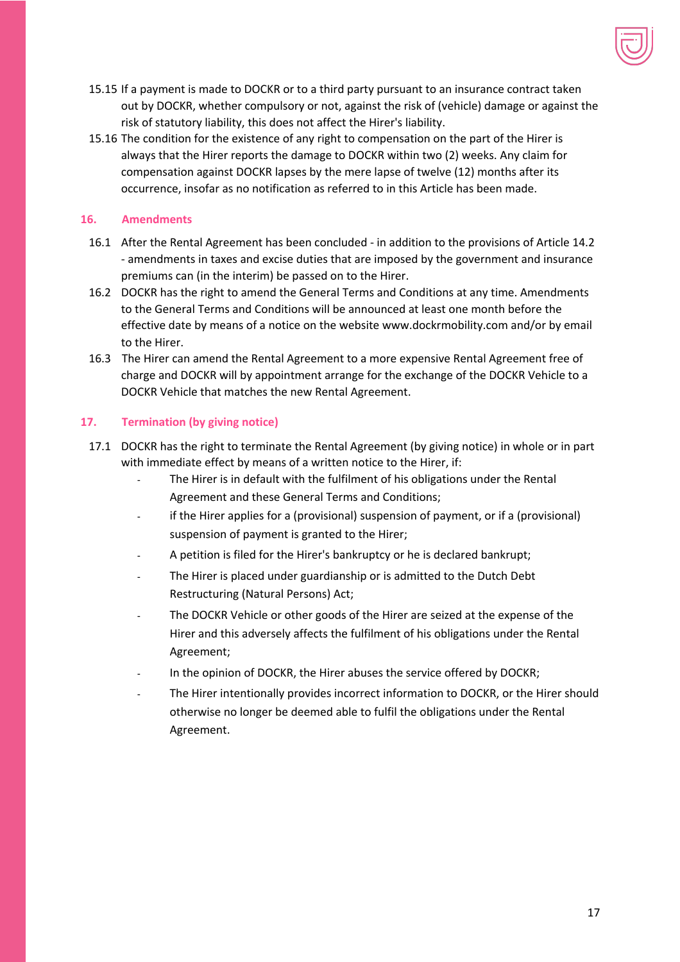

- 15.15 If a payment is made to DOCKR or to a third party pursuant to an insurance contract taken out by DOCKR, whether compulsory or not, against the risk of (vehicle) damage or against the risk of statutory liability, this does not affect the Hirer's liability.
- 15.16 The condition for the existence of any right to compensation on the part of the Hirer is always that the Hirer reports the damage to DOCKR within two (2) weeks. Any claim for compensation against DOCKR lapses by the mere lapse of twelve (12) months after its occurrence, insofar as no notification as referred to in this Article has been made.

# **16. Amendments**

- 16.1 After the Rental Agreement has been concluded in addition to the provisions of Article 14.2 - amendments in taxes and excise duties that are imposed by the government and insurance premiums can (in the interim) be passed on to the Hirer.
- 16.2 DOCKR has the right to amend the General Terms and Conditions at any time. Amendments to the General Terms and Conditions will be announced at least one month before the effective date by means of a notice on the website www.dockrmobility.com and/or by email to the Hirer.
- 16.3 The Hirer can amend the Rental Agreement to a more expensive Rental Agreement free of charge and DOCKR will by appointment arrange for the exchange of the DOCKR Vehicle to a DOCKR Vehicle that matches the new Rental Agreement.

# **17. Termination (by giving notice)**

- 17.1 DOCKR has the right to terminate the Rental Agreement (by giving notice) in whole or in part with immediate effect by means of a written notice to the Hirer, if:
	- The Hirer is in default with the fulfilment of his obligations under the Rental Agreement and these General Terms and Conditions;
	- if the Hirer applies for a (provisional) suspension of payment, or if a (provisional) suspension of payment is granted to the Hirer;
	- A petition is filed for the Hirer's bankruptcy or he is declared bankrupt;
	- The Hirer is placed under guardianship or is admitted to the Dutch Debt Restructuring (Natural Persons) Act;
	- The DOCKR Vehicle or other goods of the Hirer are seized at the expense of the Hirer and this adversely affects the fulfilment of his obligations under the Rental Agreement;
	- In the opinion of DOCKR, the Hirer abuses the service offered by DOCKR;
	- The Hirer intentionally provides incorrect information to DOCKR, or the Hirer should otherwise no longer be deemed able to fulfil the obligations under the Rental Agreement.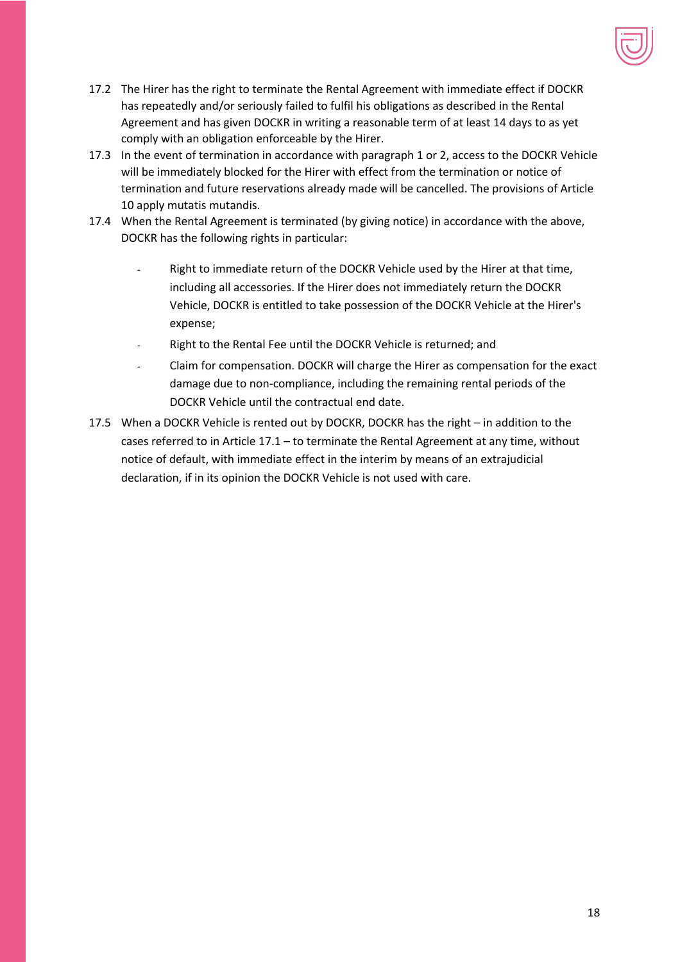

- 17.2 The Hirer has the right to terminate the Rental Agreement with immediate effect if DOCKR has repeatedly and/or seriously failed to fulfil his obligations as described in the Rental Agreement and has given DOCKR in writing a reasonable term of at least 14 days to as yet comply with an obligation enforceable by the Hirer.
- 17.3 In the event of termination in accordance with paragraph 1 or 2, access to the DOCKR Vehicle will be immediately blocked for the Hirer with effect from the termination or notice of termination and future reservations already made will be cancelled. The provisions of Article 10 apply mutatis mutandis.
- 17.4 When the Rental Agreement is terminated (by giving notice) in accordance with the above, DOCKR has the following rights in particular:
	- Right to immediate return of the DOCKR Vehicle used by the Hirer at that time, including all accessories. If the Hirer does not immediately return the DOCKR Vehicle, DOCKR is entitled to take possession of the DOCKR Vehicle at the Hirer's expense;
	- Right to the Rental Fee until the DOCKR Vehicle is returned; and
	- Claim for compensation. DOCKR will charge the Hirer as compensation for the exact damage due to non-compliance, including the remaining rental periods of the DOCKR Vehicle until the contractual end date.
- 17.5 When a DOCKR Vehicle is rented out by DOCKR, DOCKR has the right in addition to the cases referred to in Article 17.1 – to terminate the Rental Agreement at any time, without notice of default, with immediate effect in the interim by means of an extrajudicial declaration, if in its opinion the DOCKR Vehicle is not used with care.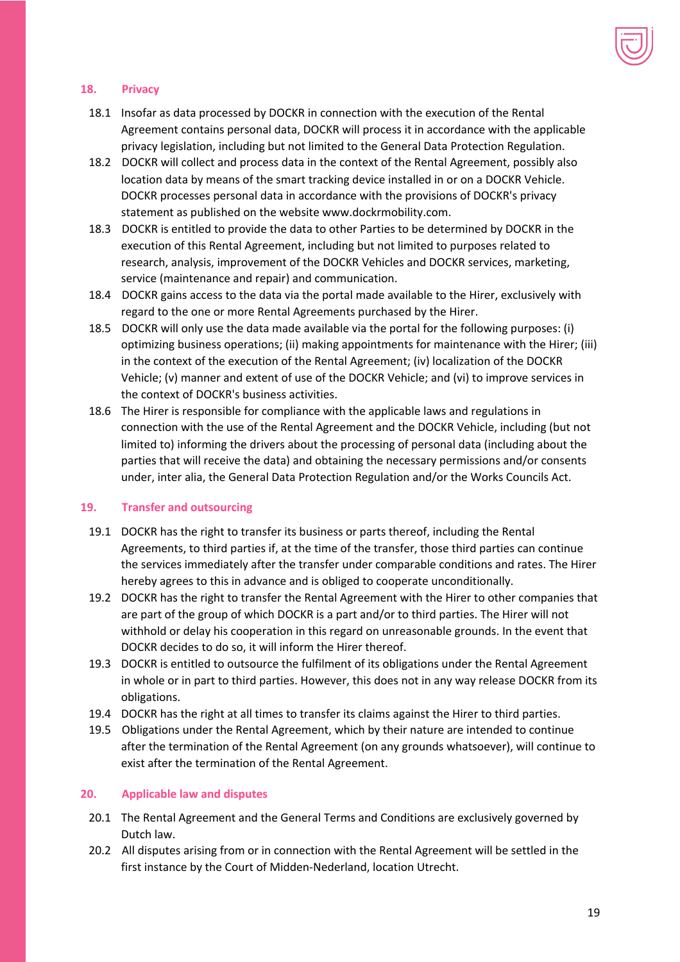

#### **18. Privacy**

- 18.1 Insofar as data processed by DOCKR in connection with the execution of the Rental Agreement contains personal data, DOCKR will process it in accordance with the applicable privacy legislation, including but not limited to the General Data Protection Regulation.
- 18.2 DOCKR will collect and process data in the context of the Rental Agreement, possibly also location data by means of the smart tracking device installed in or on a DOCKR Vehicle. DOCKR processes personal data in accordance with the provisions of DOCKR's privacy statement as published on the website www.dockrmobility.com.
- 18.3 DOCKR is entitled to provide the data to other Parties to be determined by DOCKR in the execution of this Rental Agreement, including but not limited to purposes related to research, analysis, improvement of the DOCKR Vehicles and DOCKR services, marketing, service (maintenance and repair) and communication.
- 18.4 DOCKR gains access to the data via the portal made available to the Hirer, exclusively with regard to the one or more Rental Agreements purchased by the Hirer.
- 18.5 DOCKR will only use the data made available via the portal for the following purposes: (i) optimizing business operations; (ii) making appointments for maintenance with the Hirer; (iii) in the context of the execution of the Rental Agreement; (iv) localization of the DOCKR Vehicle; (v) manner and extent of use of the DOCKR Vehicle; and (vi) to improve services in the context of DOCKR's business activities.
- 18.6 The Hirer is responsible for compliance with the applicable laws and regulations in connection with the use of the Rental Agreement and the DOCKR Vehicle, including (but not limited to) informing the drivers about the processing of personal data (including about the parties that will receive the data) and obtaining the necessary permissions and/or consents under, inter alia, the General Data Protection Regulation and/or the Works Councils Act.

#### **19. Transfer and outsourcing**

- 19.1 DOCKR has the right to transfer its business or parts thereof, including the Rental Agreements, to third parties if, at the time of the transfer, those third parties can continue the services immediately after the transfer under comparable conditions and rates. The Hirer hereby agrees to this in advance and is obliged to cooperate unconditionally.
- 19.2 DOCKR has the right to transfer the Rental Agreement with the Hirer to other companies that are part of the group of which DOCKR is a part and/or to third parties. The Hirer will not withhold or delay his cooperation in this regard on unreasonable grounds. In the event that DOCKR decides to do so, it will inform the Hirer thereof.
- 19.3 DOCKR is entitled to outsource the fulfilment of its obligations under the Rental Agreement in whole or in part to third parties. However, this does not in any way release DOCKR from its obligations.
- 19.4 DOCKR has the right at all times to transfer its claims against the Hirer to third parties.
- 19.5 Obligations under the Rental Agreement, which by their nature are intended to continue after the termination of the Rental Agreement (on any grounds whatsoever), will continue to exist after the termination of the Rental Agreement.

#### **20. Applicable law and disputes**

- 20.1 The Rental Agreement and the General Terms and Conditions are exclusively governed by Dutch law.
- 20.2 All disputes arising from or in connection with the Rental Agreement will be settled in the first instance by the Court of Midden-Nederland, location Utrecht.